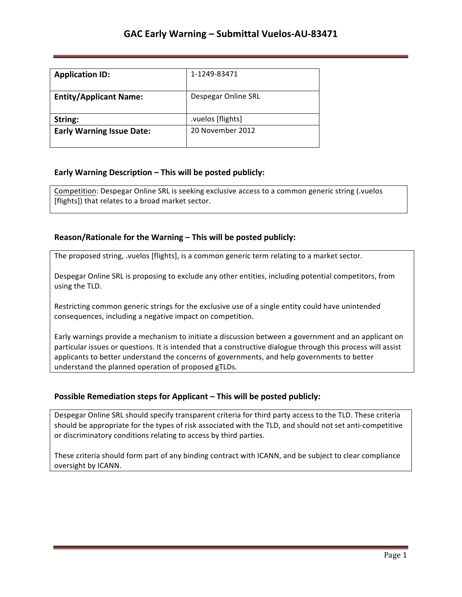| <b>Application ID:</b>           | 1-1249-83471        |
|----------------------------------|---------------------|
| <b>Entity/Applicant Name:</b>    | Despegar Online SRL |
| String:                          | .vuelos [flights]   |
| <b>Early Warning Issue Date:</b> | 20 November 2012    |

## **Early Warning Description – This will be posted publicly:**

Competition: Despegar Online SRL is seeking exclusive access to a common generic string (.vuelos [flights]) that relates to a broad market sector.

## **Reason/Rationale for the Warning – This will be posted publicly:**

The proposed string, .vuelos [flights], is a common generic term relating to a market sector.

Despegar Online SRL is proposing to exclude any other entities, including potential competitors, from using the TLD.

Restricting common generic strings for the exclusive use of a single entity could have unintended consequences, including a negative impact on competition.

Early warnings provide a mechanism to initiate a discussion between a government and an applicant on particular issues or questions. It is intended that a constructive dialogue through this process will assist applicants to better understand the concerns of governments, and help governments to better understand the planned operation of proposed gTLDs.

## **Possible Remediation steps for Applicant – This will be posted publicly:**

Despegar Online SRL should specify transparent criteria for third party access to the TLD. These criteria should be appropriate for the types of risk associated with the TLD, and should not set anti-competitive or discriminatory conditions relating to access by third parties.

These criteria should form part of any binding contract with ICANN, and be subject to clear compliance oversight by ICANN.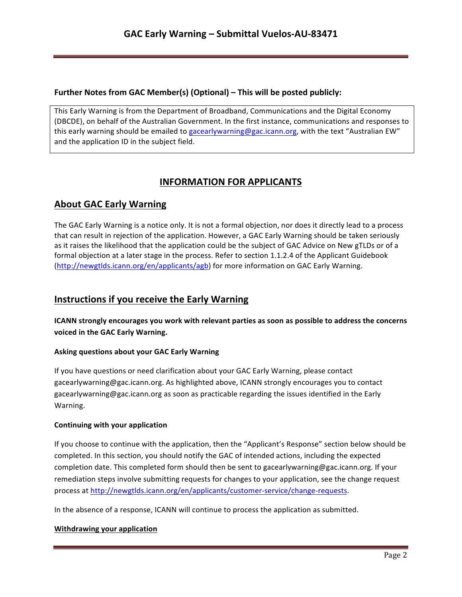## **Further Notes from GAC Member(s) (Optional) – This will be posted publicly:**

This Early Warning is from the Department of Broadband, Communications and the Digital Economy (DBCDE), on behalf of the Australian Government. In the first instance, communications and responses to this early warning should be emailed to gacearlywarning@gac.icann.org, with the text "Australian EW" and the application ID in the subject field.

# **INFORMATION FOR APPLICANTS**

# **About GAC Early Warning**

The GAC Early Warning is a notice only. It is not a formal objection, nor does it directly lead to a process that can result in rejection of the application. However, a GAC Early Warning should be taken seriously as it raises the likelihood that the application could be the subject of GAC Advice on New gTLDs or of a formal objection at a later stage in the process. Refer to section 1.1.2.4 of the Applicant Guidebook (http://newgtlds.icann.org/en/applicants/agb) for more information on GAC Early Warning.

## **Instructions if you receive the Early Warning**

**ICANN** strongly encourages you work with relevant parties as soon as possible to address the concerns voiced in the GAC Early Warning.

## **Asking questions about your GAC Early Warning**

If you have questions or need clarification about your GAC Early Warning, please contact gacearlywarning@gac.icann.org. As highlighted above, ICANN strongly encourages you to contact gacearlywarning@gac.icann.org as soon as practicable regarding the issues identified in the Early Warning. 

#### **Continuing with your application**

If you choose to continue with the application, then the "Applicant's Response" section below should be completed. In this section, you should notify the GAC of intended actions, including the expected completion date. This completed form should then be sent to gacearlywarning@gac.icann.org. If your remediation steps involve submitting requests for changes to your application, see the change request process at http://newgtlds.icann.org/en/applicants/customer-service/change-requests.

In the absence of a response, ICANN will continue to process the application as submitted.

#### **Withdrawing your application**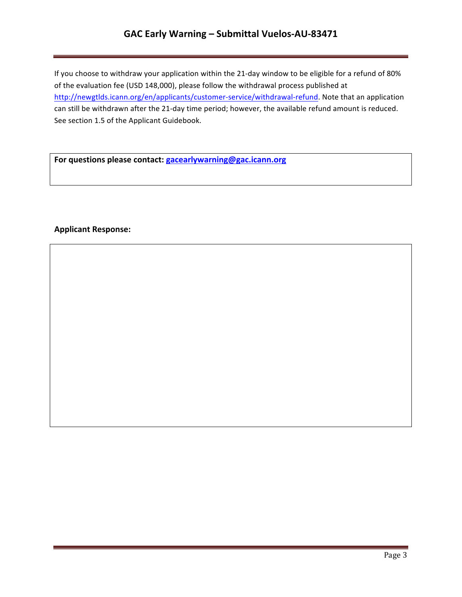## **GAC Early Warning – Submittal Vuelos-AU-83471**

If you choose to withdraw your application within the 21-day window to be eligible for a refund of 80% of the evaluation fee (USD 148,000), please follow the withdrawal process published at http://newgtlds.icann.org/en/applicants/customer-service/withdrawal-refund. Note that an application can still be withdrawn after the 21-day time period; however, the available refund amount is reduced. See section 1.5 of the Applicant Guidebook.

For questions please contact: **gacearlywarning@gac.icann.org** 

### **Applicant Response:**